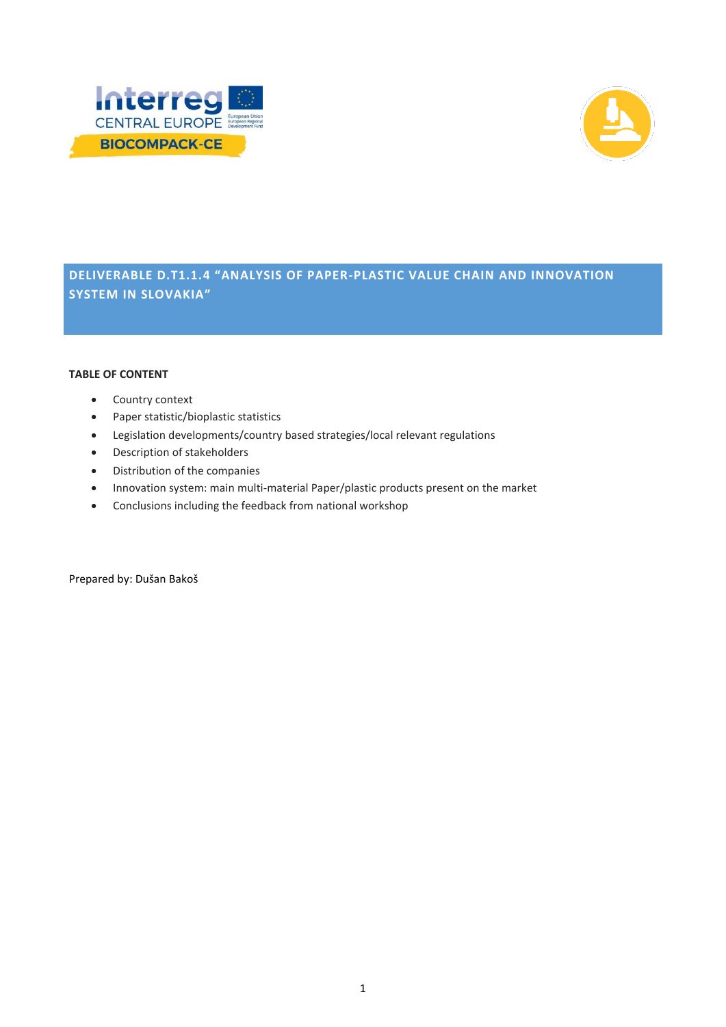



**DELIVERABLE D.T1.1.4 "ANALYSIS OF PAPER-PLASTIC VALUE CHAIN AND INNOVATION SYSTEM IN SLOVAKIA"**

### **TABLE OF CONTENT**

- Country context
- Paper statistic/bioplastic statistics
- Legislation developments/country based strategies/local relevant regulations
- Description of stakeholders
- Distribution of the companies
- Innovation system: main multi-material Paper/plastic products present on the market
- Conclusions including the feedback from national workshop

Prepared by: Dušan Bakoš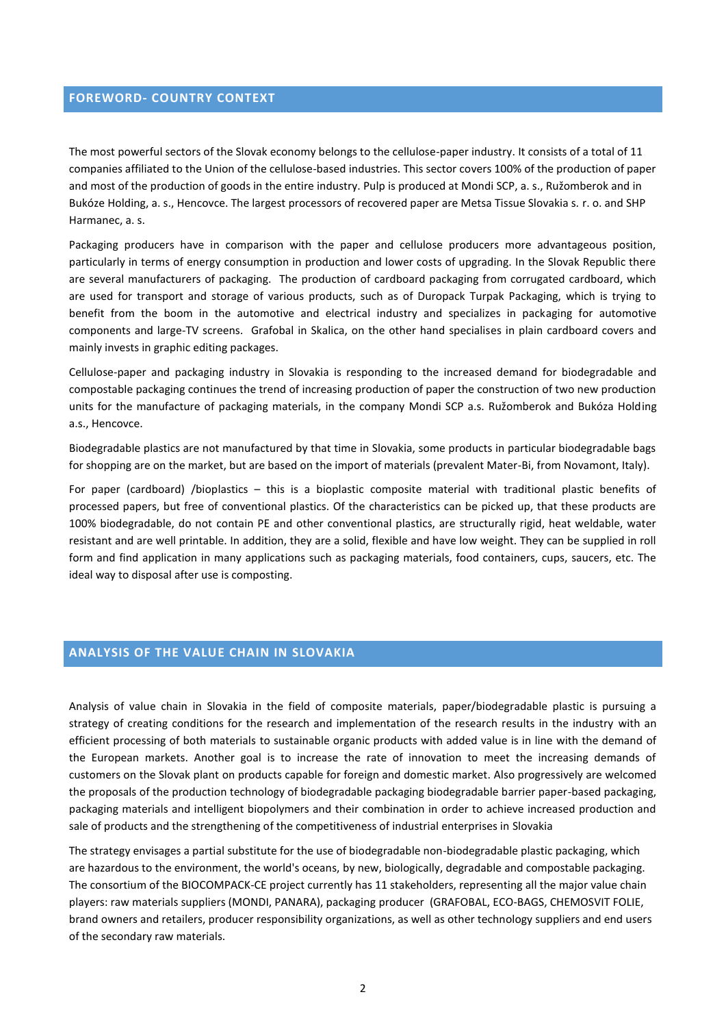## **FOREWORD- COUNTRY CONTEXT**

The most powerful sectors of the Slovak economy belongs to the cellulose-paper industry. It consists of a total of 11 companies affiliated to the Union of the cellulose-based industries. This sector covers 100% of the production of paper and most of the production of goods in the entire industry. Pulp is produced at Mondi SCP, a. s., Ružomberok and in Bukóze Holding, a. s., Hencovce. The largest processors of recovered paper are Metsa Tissue Slovakia s. r. o. and SHP Harmanec, a. s.

Packaging producers have in comparison with the paper and cellulose producers more advantageous position, particularly in terms of energy consumption in production and lower costs of upgrading. In the Slovak Republic there are several manufacturers of packaging. The production of cardboard packaging from corrugated cardboard, which are used for transport and storage of various products, such as of Duropack Turpak Packaging, which is trying to benefit from the boom in the automotive and electrical industry and specializes in packaging for automotive components and large-TV screens. Grafobal in Skalica, on the other hand specialises in plain cardboard covers and mainly invests in graphic editing packages.

Cellulose-paper and packaging industry in Slovakia is responding to the increased demand for biodegradable and compostable packaging continues the trend of increasing production of paper the construction of two new production units for the manufacture of packaging materials, in the company Mondi SCP a.s. Ružomberok and Bukóza Holding a.s., Hencovce.

Biodegradable plastics are not manufactured by that time in Slovakia, some products in particular biodegradable bags for shopping are on the market, but are based on the import of materials (prevalent Mater-Bi, from Novamont, Italy).

For paper (cardboard) /bioplastics – this is a bioplastic composite material with traditional plastic benefits of processed papers, but free of conventional plastics. Of the characteristics can be picked up, that these products are 100% biodegradable, do not contain PE and other conventional plastics, are structurally rigid, heat weldable, water resistant and are well printable. In addition, they are a solid, flexible and have low weight. They can be supplied in roll form and find application in many applications such as packaging materials, food containers, cups, saucers, etc. The ideal way to disposal after use is composting.

# **ANALYSIS OF THE VALUE CHAIN IN SLOVAKIA**

Analysis of value chain in Slovakia in the field of composite materials, paper/biodegradable plastic is pursuing a strategy of creating conditions for the research and implementation of the research results in the industry with an efficient processing of both materials to sustainable organic products with added value is in line with the demand of the European markets. Another goal is to increase the rate of innovation to meet the increasing demands of customers on the Slovak plant on products capable for foreign and domestic market. Also progressively are welcomed the proposals of the production technology of biodegradable packaging biodegradable barrier paper-based packaging, packaging materials and intelligent biopolymers and their combination in order to achieve increased production and sale of products and the strengthening of the competitiveness of industrial enterprises in Slovakia

The strategy envisages a partial substitute for the use of biodegradable non-biodegradable plastic packaging, which are hazardous to the environment, the world's oceans, by new, biologically, degradable and compostable packaging. The consortium of the BIOCOMPACK-CE project currently has 11 stakeholders, representing all the major value chain players: raw materials suppliers (MONDI, PANARA), packaging producer (GRAFOBAL, ECO-BAGS, CHEMOSVIT FOLIE, brand owners and retailers, producer responsibility organizations, as well as other technology suppliers and end users of the secondary raw materials.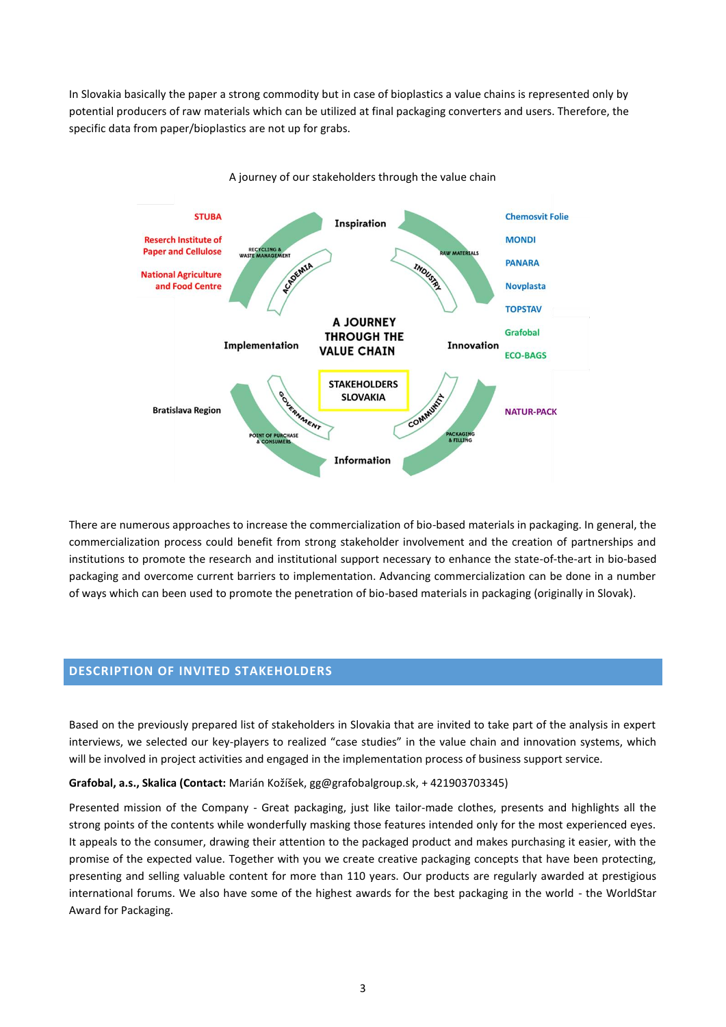In Slovakia basically the paper a strong commodity but in case of bioplastics a value chains is represented only by potential producers of raw materials which can be utilized at final packaging converters and users. Therefore, the specific data from paper/bioplastics are not up for grabs.



There are numerous approaches to increase the commercialization of bio-based materials in packaging. In general, the commercialization process could benefit from strong stakeholder involvement and the creation of partnerships and institutions to promote the research and institutional support necessary to enhance the state-of-the-art in bio-based packaging and overcome current barriers to implementation. Advancing commercialization can be done in a number of ways which can been used to promote the penetration of bio-based materials in packaging (originally in Slovak).

## **DESCRIPTION OF INVITED STAKEHOLDERS**

Based on the previously prepared list of stakeholders in Slovakia that are invited to take part of the analysis in expert interviews, we selected our key-players to realized "case studies" in the value chain and innovation systems, which will be involved in project activities and engaged in the implementation process of business support service.

#### **Grafobal, a.s., Skalica (Contact:** Marián Kožíšek, gg@grafobalgroup.sk, + 421903703345)

Presented mission of the Company - Great packaging, just like tailor-made clothes, presents and highlights all the strong points of the contents while wonderfully masking those features intended only for the most experienced eyes. It appeals to the consumer, drawing their attention to the packaged product and makes purchasing it easier, with the promise of the expected value. Together with you we create creative packaging concepts that have been protecting, presenting and selling valuable content for more than 110 years. Our products are regularly awarded at prestigious international forums. We also have some of the highest awards for the best packaging in the world - the WorldStar Award for Packaging.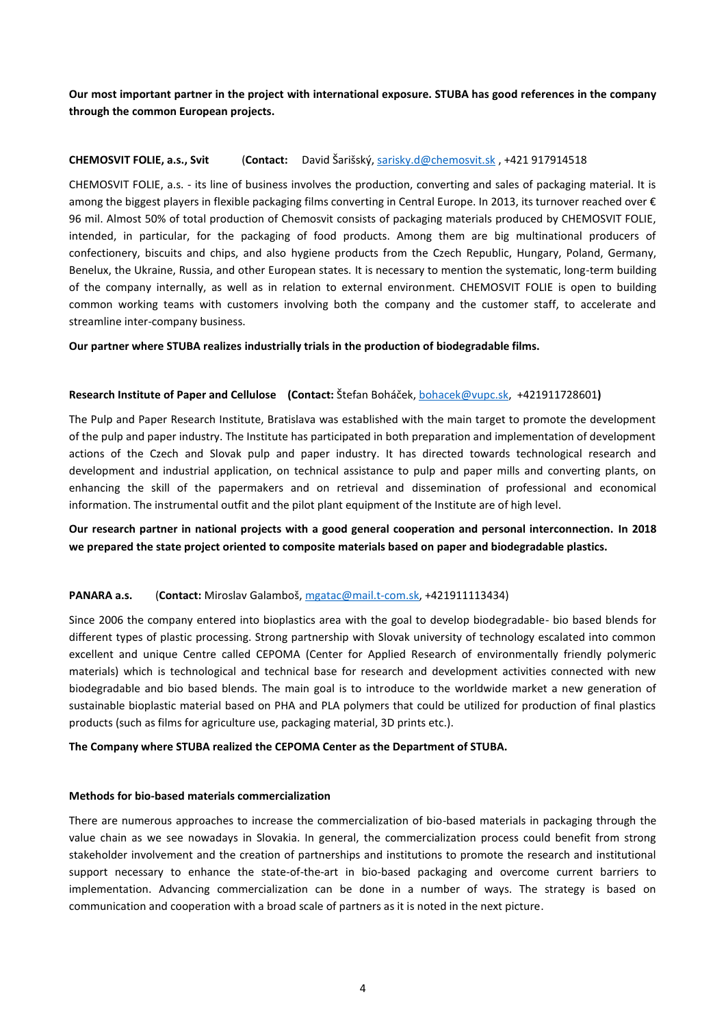**Our most important partner in the project with international exposure. STUBA has good references in the company through the common European projects.**

## **CHEMOSVIT FOLIE, a.s., Svit** (**Contact:** David Šarišský, [sarisky.d@chemosvit.sk](mailto:sarisky.d@chemosvit.sk) , +421 917914518

CHEMOSVIT FOLIE, a.s. - its line of business involves the production, converting and sales of packaging material. It is among the biggest players in flexible packaging films converting in Central Europe. In 2013, its turnover reached over  $\epsilon$ 96 mil. Almost 50% of total production of Chemosvit consists of packaging materials produced by CHEMOSVIT FOLIE, intended, in particular, for the packaging of food products. Among them are big multinational producers of confectionery, biscuits and chips, and also hygiene products from the Czech Republic, Hungary, Poland, Germany, Benelux, the Ukraine, Russia, and other European states. It is necessary to mention the systematic, long-term building of the company internally, as well as in relation to external environment. CHEMOSVIT FOLIE is open to building common working teams with customers involving both the company and the customer staff, to accelerate and streamline inter-company business.

#### **Our partner where STUBA realizes industrially trials in the production of biodegradable films.**

#### **Research Institute of Paper and Cellulose (Contact:** Štefan Boháček, [bohacek@vupc.sk,](mailto:bohacek@vupc.sk) +421911728601**)**

The Pulp and Paper Research Institute, Bratislava was established with the main target to promote the development of the pulp and paper industry. The Institute has participated in both preparation and implementation of development actions of the Czech and Slovak pulp and paper industry. It has directed towards technological research and development and industrial application, on technical assistance to pulp and paper mills and converting plants, on enhancing the skill of the papermakers and on retrieval and dissemination of professional and economical information. The instrumental outfit and the pilot plant equipment of the Institute are of high level.

## **Our research partner in national projects with a good general cooperation and personal interconnection. In 2018 we prepared the state project oriented to composite materials based on paper and biodegradable plastics.**

#### **PANARA a.s.** (**Contact:** Miroslav Galamboš, [mgatac@mail.t-com.sk,](mailto:mgatac@mail.t-com.sk) +421911113434)

Since 2006 the company entered into bioplastics area with the goal to develop biodegradable- bio based blends for different types of plastic processing. Strong partnership with Slovak university of technology escalated into common excellent and unique Centre called CEPOMA (Center for Applied Research of environmentally friendly polymeric materials) which is technological and technical base for research and development activities connected with new biodegradable and bio based blends. The main goal is to introduce to the worldwide market a new generation of sustainable bioplastic material based on PHA and PLA polymers that could be utilized for production of final plastics products (such as films for agriculture use, packaging material, 3D prints etc.).

#### **The Company where STUBA realized the CEPOMA Center as the Department of STUBA.**

#### **Methods for bio-based materials commercialization**

There are numerous approaches to increase the commercialization of bio-based materials in packaging through the value chain as we see nowadays in Slovakia. In general, the commercialization process could benefit from strong stakeholder involvement and the creation of partnerships and institutions to promote the research and institutional support necessary to enhance the state-of-the-art in bio-based packaging and overcome current barriers to implementation. Advancing commercialization can be done in a number of ways. The strategy is based on communication and cooperation with a broad scale of partners as it is noted in the next picture.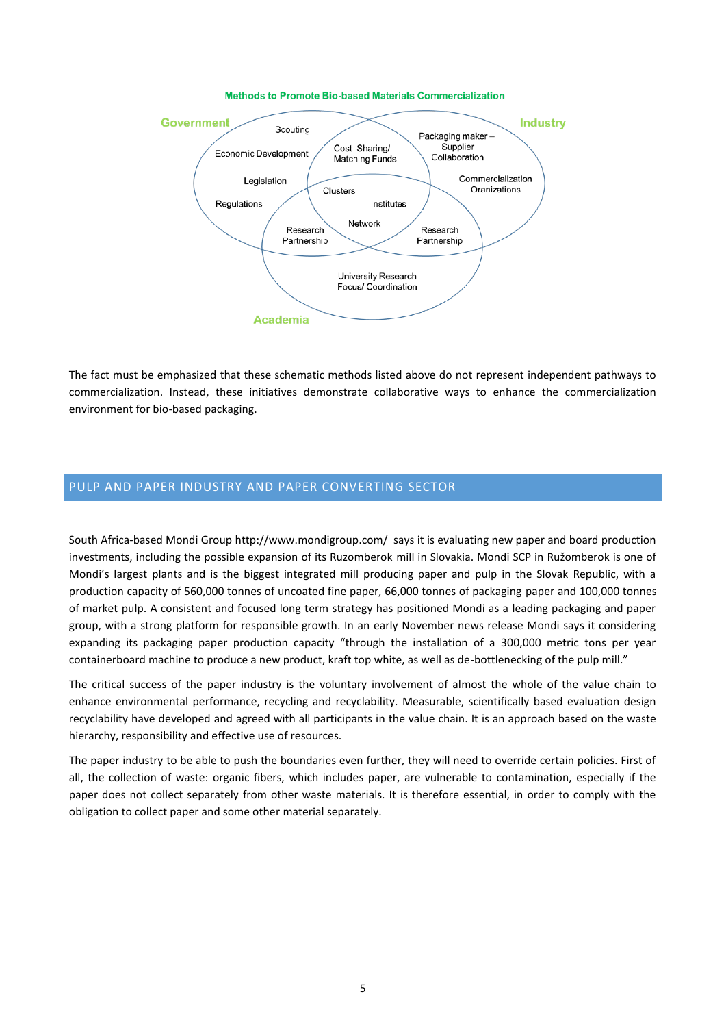

The fact must be emphasized that these schematic methods listed above do not represent independent pathways to commercialization. Instead, these initiatives demonstrate collaborative ways to enhance the commercialization environment for bio-based packaging.

# PULP AND PAPER INDUSTRY AND PAPER CONVERTING SECTOR

South Africa-based Mondi Group http://www.mondigroup.com/ says it is evaluating new paper and board production investments, including the possible expansion of its Ruzomberok mill in Slovakia. Mondi SCP in Ružomberok is one of Mondi's largest plants and is the biggest integrated mill producing paper and pulp in the Slovak Republic, with a production capacity of 560,000 tonnes of uncoated fine paper, 66,000 tonnes of packaging paper and 100,000 tonnes of market pulp. A consistent and focused long term strategy has positioned Mondi as a leading packaging and paper group, with a strong platform for responsible growth. In an early November news release Mondi says it considering expanding its packaging paper production capacity "through the installation of a 300,000 metric tons per year containerboard machine to produce a new product, kraft top white, as well as de-bottlenecking of the pulp mill."

The critical success of the paper industry is the voluntary involvement of almost the whole of the value chain to enhance environmental performance, recycling and recyclability. Measurable, scientifically based evaluation design recyclability have developed and agreed with all participants in the value chain. It is an approach based on the waste hierarchy, responsibility and effective use of resources.

The paper industry to be able to push the boundaries even further, they will need to override certain policies. First of all, the collection of waste: organic fibers, which includes paper, are vulnerable to contamination, especially if the paper does not collect separately from other waste materials. It is therefore essential, in order to comply with the obligation to collect paper and some other material separately.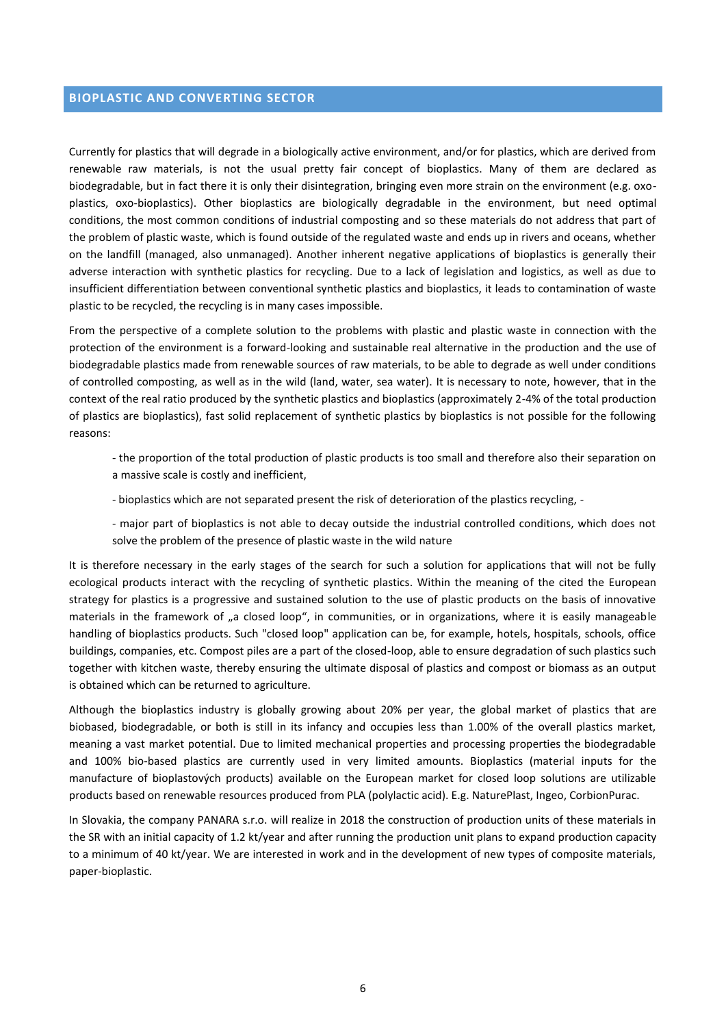## **BIOPLASTIC AND CONVERTING SECTOR**

Currently for plastics that will degrade in a biologically active environment, and/or for plastics, which are derived from renewable raw materials, is not the usual pretty fair concept of bioplastics. Many of them are declared as biodegradable, but in fact there it is only their disintegration, bringing even more strain on the environment (e.g. oxoplastics, oxo-bioplastics). Other bioplastics are biologically degradable in the environment, but need optimal conditions, the most common conditions of industrial composting and so these materials do not address that part of the problem of plastic waste, which is found outside of the regulated waste and ends up in rivers and oceans, whether on the landfill (managed, also unmanaged). Another inherent negative applications of bioplastics is generally their adverse interaction with synthetic plastics for recycling. Due to a lack of legislation and logistics, as well as due to insufficient differentiation between conventional synthetic plastics and bioplastics, it leads to contamination of waste plastic to be recycled, the recycling is in many cases impossible.

From the perspective of a complete solution to the problems with plastic and plastic waste in connection with the protection of the environment is a forward-looking and sustainable real alternative in the production and the use of biodegradable plastics made from renewable sources of raw materials, to be able to degrade as well under conditions of controlled composting, as well as in the wild (land, water, sea water). It is necessary to note, however, that in the context of the real ratio produced by the synthetic plastics and bioplastics (approximately 2-4% of the total production of plastics are bioplastics), fast solid replacement of synthetic plastics by bioplastics is not possible for the following reasons:

- the proportion of the total production of plastic products is too small and therefore also their separation on a massive scale is costly and inefficient,
- bioplastics which are not separated present the risk of deterioration of the plastics recycling, -
- major part of bioplastics is not able to decay outside the industrial controlled conditions, which does not solve the problem of the presence of plastic waste in the wild nature

It is therefore necessary in the early stages of the search for such a solution for applications that will not be fully ecological products interact with the recycling of synthetic plastics. Within the meaning of the cited the European strategy for plastics is a progressive and sustained solution to the use of plastic products on the basis of innovative materials in the framework of "a closed loop", in communities, or in organizations, where it is easily manageable handling of bioplastics products. Such "closed loop" application can be, for example, hotels, hospitals, schools, office buildings, companies, etc. Compost piles are a part of the closed-loop, able to ensure degradation of such plastics such together with kitchen waste, thereby ensuring the ultimate disposal of plastics and compost or biomass as an output is obtained which can be returned to agriculture.

Although the bioplastics industry is globally growing about 20% per year, the global market of plastics that are biobased, biodegradable, or both is still in its infancy and occupies less than 1.00% of the overall plastics market, meaning a vast market potential. Due to limited mechanical properties and processing properties the biodegradable and 100% bio-based plastics are currently used in very limited amounts. Bioplastics (material inputs for the manufacture of bioplastových products) available on the European market for closed loop solutions are utilizable products based on renewable resources produced from PLA (polylactic acid). E.g. NaturePlast, Ingeo, CorbionPurac.

In Slovakia, the company PANARA s.r.o. will realize in 2018 the construction of production units of these materials in the SR with an initial capacity of 1.2 kt/year and after running the production unit plans to expand production capacity to a minimum of 40 kt/year. We are interested in work and in the development of new types of composite materials, paper-bioplastic.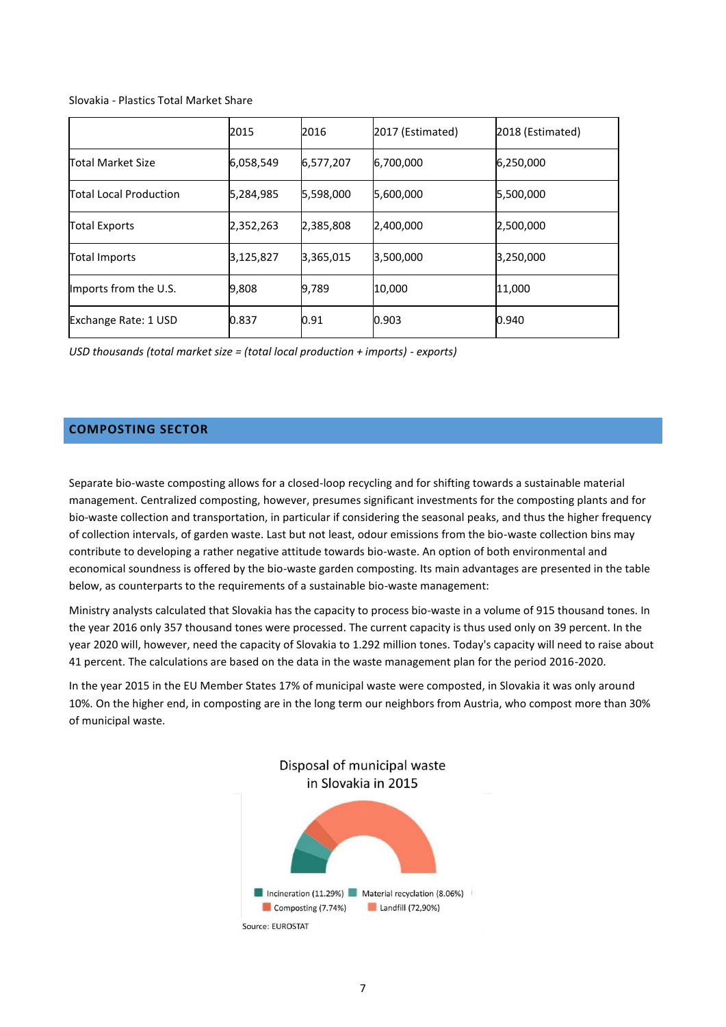#### Slovakia - Plastics Total Market Share

|                               | 2015      | 2016        | 2017 (Estimated) | 2018 (Estimated) |
|-------------------------------|-----------|-------------|------------------|------------------|
| Total Market Size             | 6,058,549 | 6, 577, 207 | 6,700,000        | 6,250,000        |
| <b>Total Local Production</b> | 5,284,985 | 5,598,000   | 5,600,000        | 5,500,000        |
| <b>Total Exports</b>          | 2,352,263 | 2,385,808   | 2,400,000        | 2,500,000        |
| <b>Total Imports</b>          | 3,125,827 | 3,365,015   | 3,500,000        | 3,250,000        |
| Imports from the U.S.         | 9,808     | 9,789       | 10,000           | 11,000           |
| Exchange Rate: 1 USD          | 0.837     | 0.91        | 0.903            | 0.940            |

*USD thousands (total market size = (total local production + imports) - exports)*

## **COMPOSTING SECTOR**

Separate bio-waste composting allows for a closed-loop recycling and for shifting towards a sustainable material management. Centralized composting, however, presumes significant investments for the composting plants and for bio-waste collection and transportation, in particular if considering the seasonal peaks, and thus the higher frequency of collection intervals, of garden waste. Last but not least, odour emissions from the bio-waste collection bins may contribute to developing a rather negative attitude towards bio-waste. An option of both environmental and economical soundness is offered by the bio-waste garden composting. Its main advantages are presented in the table below, as counterparts to the requirements of a sustainable bio-waste management:

Ministry analysts calculated that Slovakia has the capacity to process bio-waste in a volume of 915 thousand tones. In the year 2016 only 357 thousand tones were processed. The current capacity is thus used only on 39 percent. In the year 2020 will, however, need the capacity of Slovakia to 1.292 million tones. Today's capacity will need to raise about 41 percent. The calculations are based on the data in the waste management plan for the period 2016-2020.

In the year 2015 in the EU Member States 17% of municipal waste were composted, in Slovakia it was only around 10%. On the higher end, in composting are in the long term our neighbors from Austria, who compost more than 30% of municipal waste.

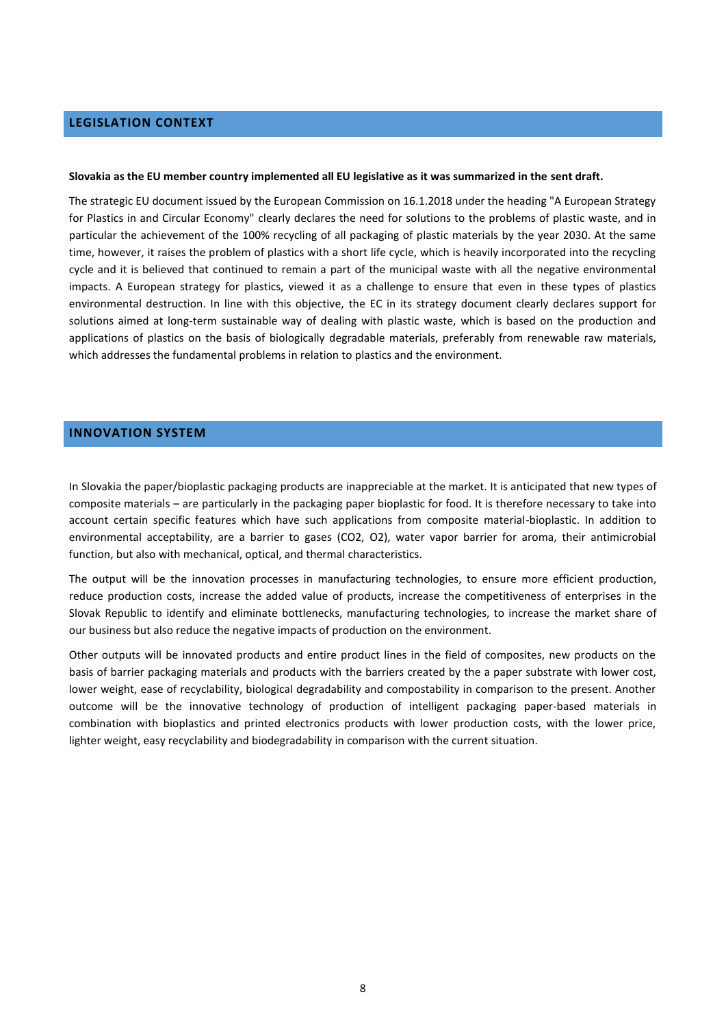## **LEGISLATION CONTEXT**

#### **Slovakia as the EU member country implemented all EU legislative as it was summarized in the sent draft.**

The strategic EU document issued by the European Commission on 16.1.2018 under the heading "A European Strategy for Plastics in and Circular Economy" clearly declares the need for solutions to the problems of plastic waste, and in particular the achievement of the 100% recycling of all packaging of plastic materials by the year 2030. At the same time, however, it raises the problem of plastics with a short life cycle, which is heavily incorporated into the recycling cycle and it is believed that continued to remain a part of the municipal waste with all the negative environmental impacts. A European strategy for plastics, viewed it as a challenge to ensure that even in these types of plastics environmental destruction. In line with this objective, the EC in its strategy document clearly declares support for solutions aimed at long-term sustainable way of dealing with plastic waste, which is based on the production and applications of plastics on the basis of biologically degradable materials, preferably from renewable raw materials, which addresses the fundamental problems in relation to plastics and the environment.

## **INNOVATION SYSTEM**

In Slovakia the paper/bioplastic packaging products are inappreciable at the market. It is anticipated that new types of composite materials – are particularly in the packaging paper bioplastic for food. It is therefore necessary to take into account certain specific features which have such applications from composite material-bioplastic. In addition to environmental acceptability, are a barrier to gases (CO2, O2), water vapor barrier for aroma, their antimicrobial function, but also with mechanical, optical, and thermal characteristics.

The output will be the innovation processes in manufacturing technologies, to ensure more efficient production, reduce production costs, increase the added value of products, increase the competitiveness of enterprises in the Slovak Republic to identify and eliminate bottlenecks, manufacturing technologies, to increase the market share of our business but also reduce the negative impacts of production on the environment.

Other outputs will be innovated products and entire product lines in the field of composites, new products on the basis of barrier packaging materials and products with the barriers created by the a paper substrate with lower cost, lower weight, ease of recyclability, biological degradability and compostability in comparison to the present. Another outcome will be the innovative technology of production of intelligent packaging paper-based materials in combination with bioplastics and printed electronics products with lower production costs, with the lower price, lighter weight, easy recyclability and biodegradability in comparison with the current situation.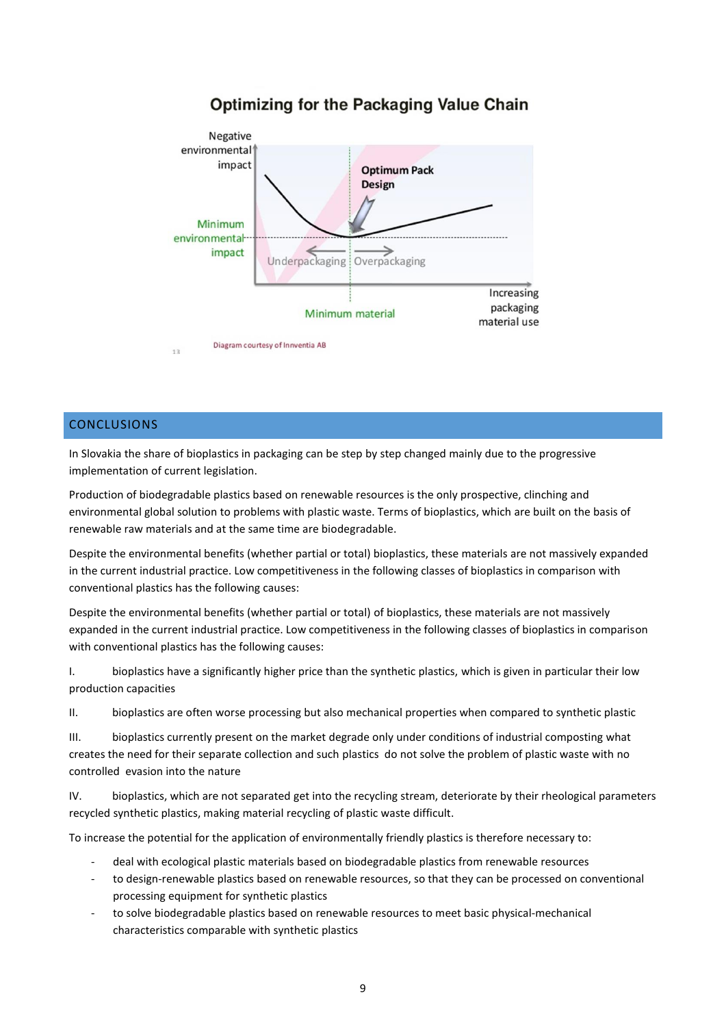# Optimizing for the Packaging Value Chain



Diagram courtesy of Innventia AB  $13$ 

# CONCLUSIONS

In Slovakia the share of bioplastics in packaging can be step by step changed mainly due to the progressive implementation of current legislation.

Production of biodegradable plastics based on renewable resources is the only prospective, clinching and environmental global solution to problems with plastic waste. Terms of bioplastics, which are built on the basis of renewable raw materials and at the same time are biodegradable.

Despite the environmental benefits (whether partial or total) bioplastics, these materials are not massively expanded in the current industrial practice. Low competitiveness in the following classes of bioplastics in comparison with conventional plastics has the following causes:

Despite the environmental benefits (whether partial or total) of bioplastics, these materials are not massively expanded in the current industrial practice. Low competitiveness in the following classes of bioplastics in comparison with conventional plastics has the following causes:

I. bioplastics have a significantly higher price than the synthetic plastics, which is given in particular their low production capacities

II. bioplastics are often worse processing but also mechanical properties when compared to synthetic plastic

III. bioplastics currently present on the market degrade only under conditions of industrial composting what creates the need for their separate collection and such plastics do not solve the problem of plastic waste with no controlled evasion into the nature

IV. bioplastics, which are not separated get into the recycling stream, deteriorate by their rheological parameters recycled synthetic plastics, making material recycling of plastic waste difficult.

To increase the potential for the application of environmentally friendly plastics is therefore necessary to:

- deal with ecological plastic materials based on biodegradable plastics from renewable resources
- to design-renewable plastics based on renewable resources, so that they can be processed on conventional processing equipment for synthetic plastics
- to solve biodegradable plastics based on renewable resources to meet basic physical-mechanical characteristics comparable with synthetic plastics